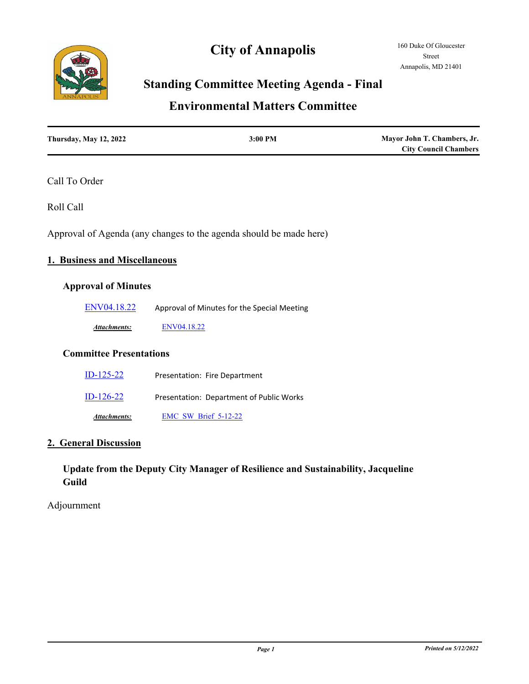# **City of Annapolis**



# **Standing Committee Meeting Agenda - Final**

# **Environmental Matters Committee**

| <b>Thursday, May 12, 2022</b> | 3:00 PM | Mayor John T. Chambers, Jr.  |
|-------------------------------|---------|------------------------------|
|                               |         | <b>City Council Chambers</b> |

Call To Order

Roll Call

Approval of Agenda (any changes to the agenda should be made here)

#### **1. Business and Miscellaneous**

## **Approval of Minutes**

| ENV04.18.22 | Approval of Minutes for the Special Meeting |  |
|-------------|---------------------------------------------|--|
|-------------|---------------------------------------------|--|

*Attachments:* [ENV04.18.22](http://annapolismd.legistar.com/gateway.aspx?M=F&ID=e801f1ee-fa27-4cc5-b290-70b6a4c09c6c.pdf)

#### **Committee Presentations**

| Attachments: | <b>EMC SW Brief 5-12-22</b>              |
|--------------|------------------------------------------|
| $ID-126-22$  | Presentation: Department of Public Works |
| $ID-125-22$  | Presentation: Fire Department            |

### **2. General Discussion**

**Update from the Deputy City Manager of Resilience and Sustainability, Jacqueline Guild**

## Adjournment